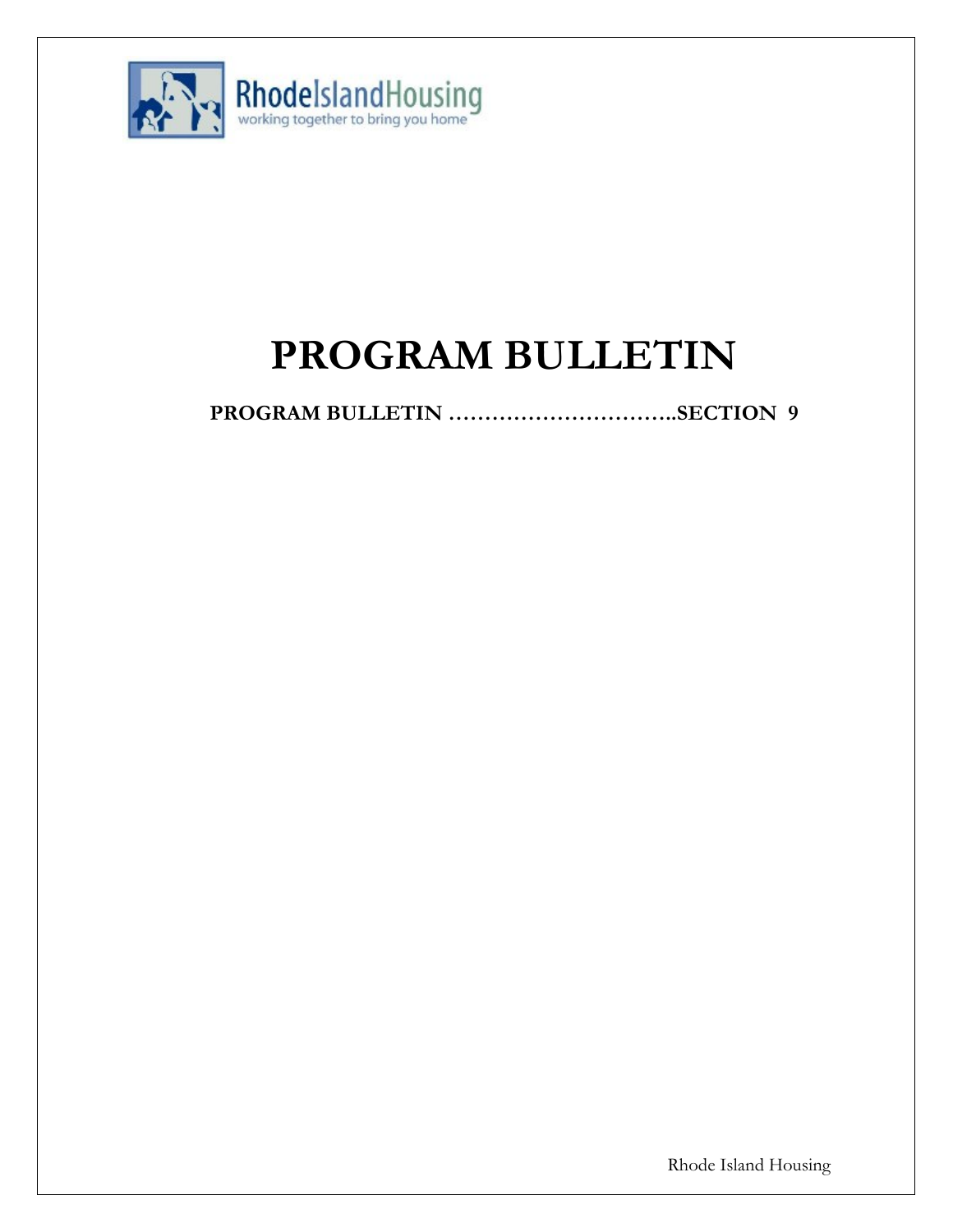

# **PROGRAM BULLETIN**

**PROGRAM BULLETIN …………………………..SECTION 9** 

Rhode Island Housing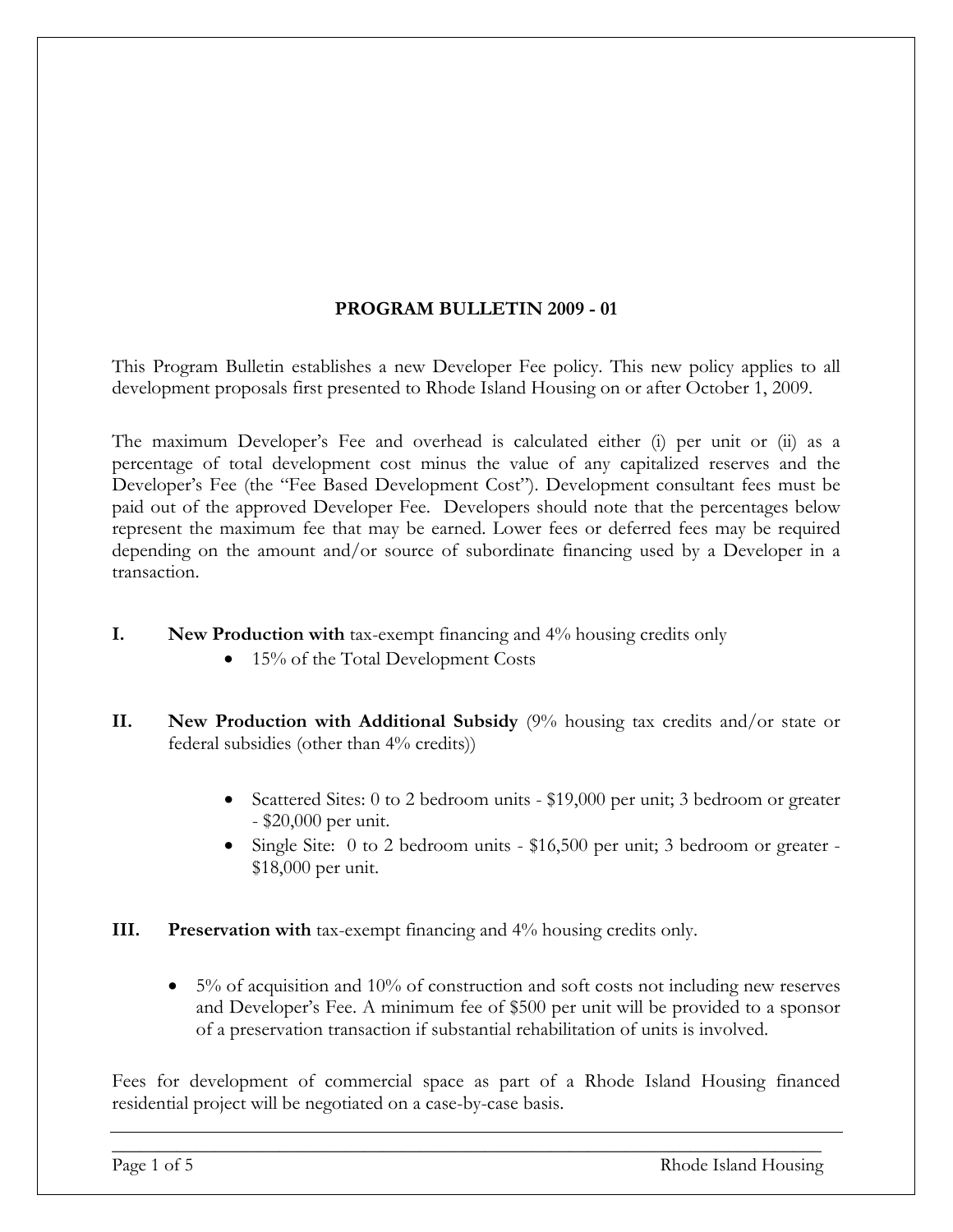### **PROGRAM BULLETIN 2009 - 01**

This Program Bulletin establishes a new Developer Fee policy. This new policy applies to all development proposals first presented to Rhode Island Housing on or after October 1, 2009.

The maximum Developer's Fee and overhead is calculated either (i) per unit or (ii) as a percentage of total development cost minus the value of any capitalized reserves and the Developer's Fee (the "Fee Based Development Cost"). Development consultant fees must be paid out of the approved Developer Fee. Developers should note that the percentages below represent the maximum fee that may be earned. Lower fees or deferred fees may be required depending on the amount and/or source of subordinate financing used by a Developer in a transaction.

- **I. New Production with** tax-exempt financing and 4% housing credits only
	- 15% of the Total Development Costs
- **II. New Production with Additional Subsidy** (9% housing tax credits and/or state or federal subsidies (other than 4% credits))
	- Scattered Sites: 0 to 2 bedroom units \$19,000 per unit; 3 bedroom or greater - \$20,000 per unit.
	- Single Site: 0 to 2 bedroom units \$16,500 per unit; 3 bedroom or greater -\$18,000 per unit.
- **III. Preservation with** tax-exempt financing and 4% housing credits only.
	- 5% of acquisition and 10% of construction and soft costs not including new reserves and Developer's Fee. A minimum fee of \$500 per unit will be provided to a sponsor of a preservation transaction if substantial rehabilitation of units is involved.

Fees for development of commercial space as part of a Rhode Island Housing financed residential project will be negotiated on a case-by-case basis.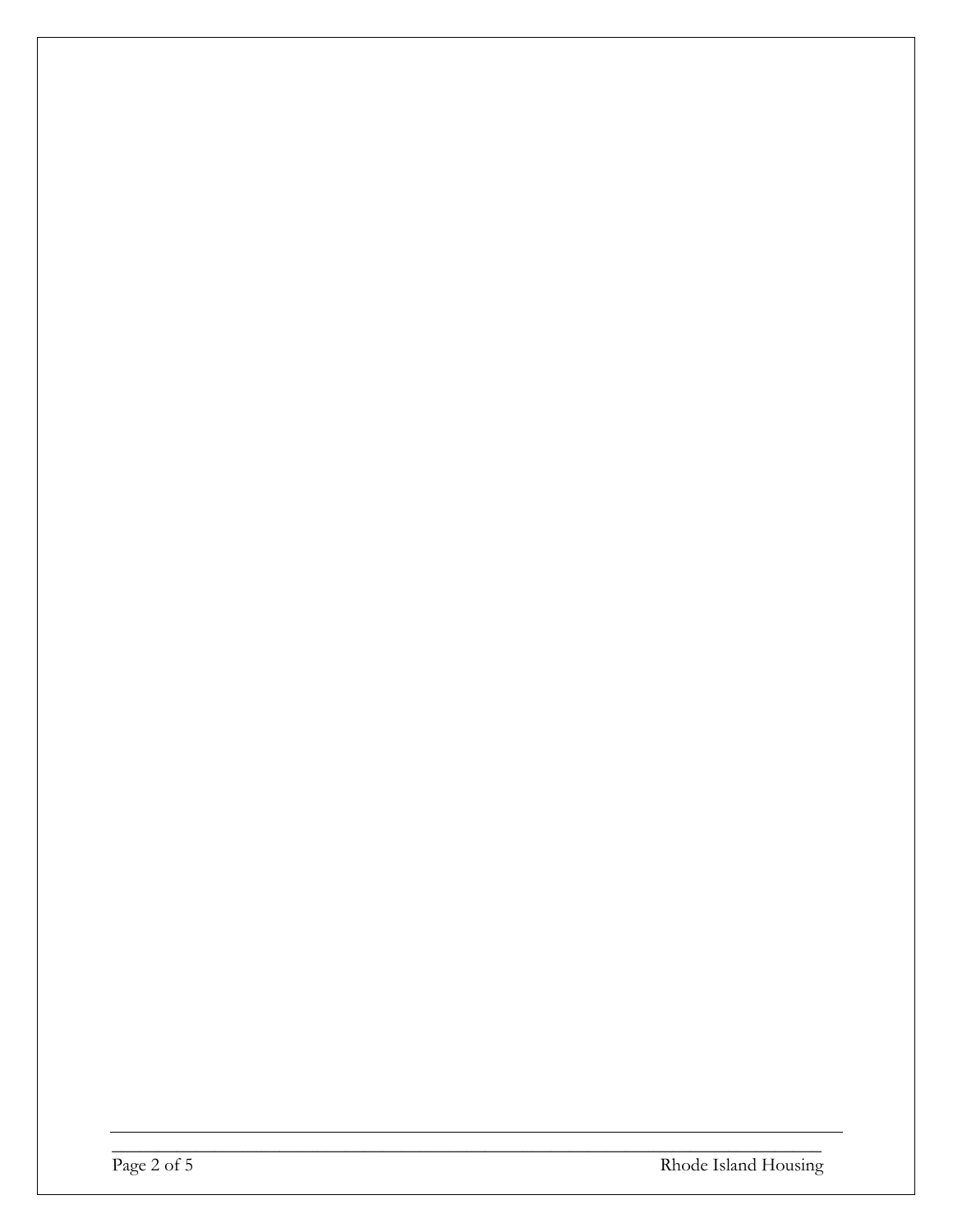Rhode Island Housing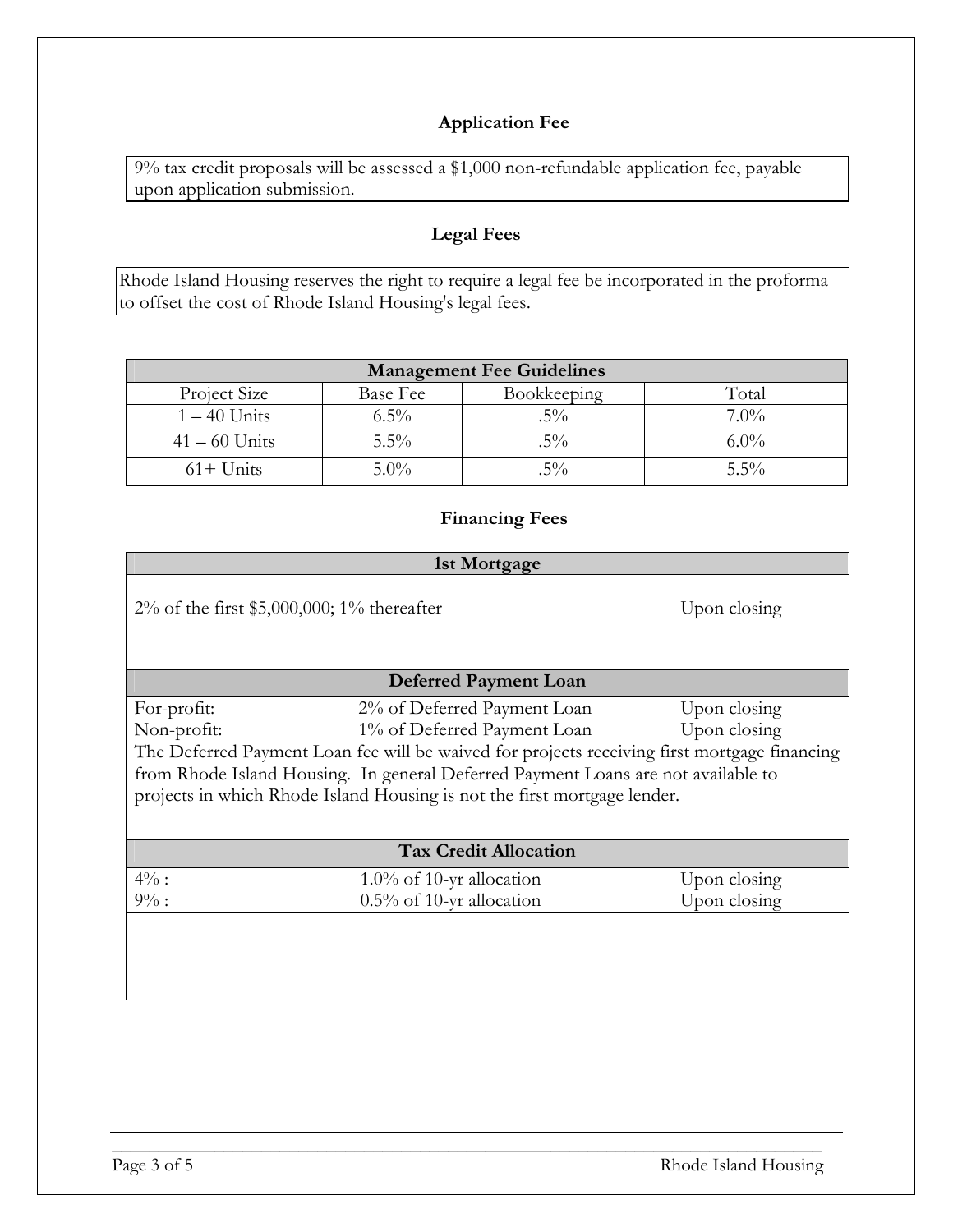## **Application Fee**

9% tax credit proposals will be assessed a \$1,000 non-refundable application fee, payable upon application submission.

# **Legal Fees**

Rhode Island Housing reserves the right to require a legal fee be incorporated in the proforma to offset the cost of Rhode Island Housing's legal fees.

| <b>Management Fee Guidelines</b> |          |             |         |
|----------------------------------|----------|-------------|---------|
| Project Size                     | Base Fee | Bookkeeping | Total   |
| $1 - 40$ Units                   | $6.5\%$  | $.5\%$      | $7.0\%$ |
| $41 - 60$ Units                  | $5.5\%$  | $.5\%$      | $6.0\%$ |
| $61 +$ Units                     | $5.0\%$  | $5\%$       | $5.5\%$ |

# **Financing Fees**

| 1st Mortgage                                                                                 |                                                                                   |              |
|----------------------------------------------------------------------------------------------|-----------------------------------------------------------------------------------|--------------|
| 2% of the first $$5,000,000; 1%$ thereafter                                                  |                                                                                   | Upon closing |
|                                                                                              |                                                                                   |              |
| <b>Deferred Payment Loan</b>                                                                 |                                                                                   |              |
| For-profit:                                                                                  | 2% of Deferred Payment Loan                                                       | Upon closing |
| Non-profit:                                                                                  | 1% of Deferred Payment Loan                                                       | Upon closing |
| The Deferred Payment Loan fee will be waived for projects receiving first mortgage financing |                                                                                   |              |
|                                                                                              | from Rhode Island Housing. In general Deferred Payment Loans are not available to |              |
|                                                                                              | projects in which Rhode Island Housing is not the first mortgage lender.          |              |
|                                                                                              |                                                                                   |              |
| <b>Tax Credit Allocation</b>                                                                 |                                                                                   |              |
| $4\%$ :                                                                                      | $1.0\%$ of 10-yr allocation                                                       | Upon closing |
| $9\%$ :                                                                                      | $0.5\%$ of 10-yr allocation                                                       | Upon closing |
|                                                                                              |                                                                                   |              |
|                                                                                              |                                                                                   |              |
|                                                                                              |                                                                                   |              |
|                                                                                              |                                                                                   |              |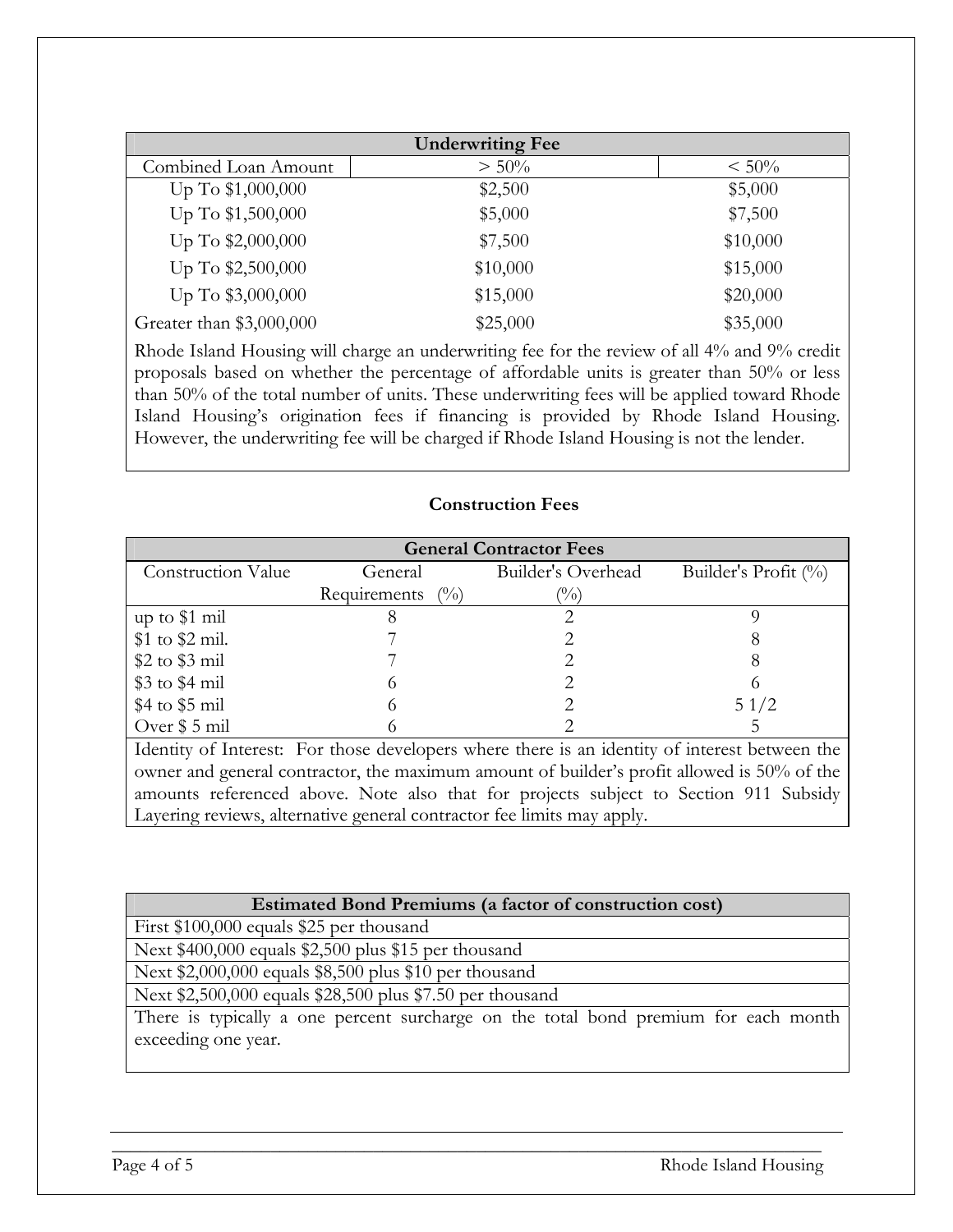| <b>Underwriting Fee</b>  |          |          |
|--------------------------|----------|----------|
| Combined Loan Amount     | $> 50\%$ | $< 50\%$ |
| Up To \$1,000,000        | \$2,500  | \$5,000  |
| Up To \$1,500,000        | \$5,000  | \$7,500  |
| Up To \$2,000,000        | \$7,500  | \$10,000 |
| Up To \$2,500,000        | \$10,000 | \$15,000 |
| Up To \$3,000,000        | \$15,000 | \$20,000 |
| Greater than \$3,000,000 | \$25,000 | \$35,000 |

Rhode Island Housing will charge an underwriting fee for the review of all 4% and 9% credit proposals based on whether the percentage of affordable units is greater than 50% or less than 50% of the total number of units. These underwriting fees will be applied toward Rhode Island Housing's origination fees if financing is provided by Rhode Island Housing. However, the underwriting fee will be charged if Rhode Island Housing is not the lender.

### **Construction Fees**

| <b>General Contractor Fees</b> |                                |                    |                         |
|--------------------------------|--------------------------------|--------------------|-------------------------|
| <b>Construction Value</b>      | General                        | Builder's Overhead | Builder's Profit $(\%)$ |
|                                | Requirements<br>$\binom{0}{0}$ | $\frac{(0)}{0}$    |                         |
| up to $$1$ mil                 |                                |                    |                         |
| $$1$ to $$2$ mil.              |                                |                    |                         |
| $$2$ to $$3$ mil               |                                |                    |                         |
| $$3$ to $$4$ mil               |                                |                    |                         |
| $$4$ to $$5$ mil               |                                |                    | 51/2                    |
| Over \$ 5 mil                  |                                |                    |                         |

Identity of Interest: For those developers where there is an identity of interest between the owner and general contractor, the maximum amount of builder's profit allowed is 50% of the amounts referenced above. Note also that for projects subject to Section 911 Subsidy Layering reviews, alternative general contractor fee limits may apply.

#### **Estimated Bond Premiums (a factor of construction cost)**

First \$100,000 equals \$25 per thousand

Next \$400,000 equals \$2,500 plus \$15 per thousand

Next \$2,000,000 equals \$8,500 plus \$10 per thousand

Next \$2,500,000 equals \$28,500 plus \$7.50 per thousand

There is typically a one percent surcharge on the total bond premium for each month exceeding one year.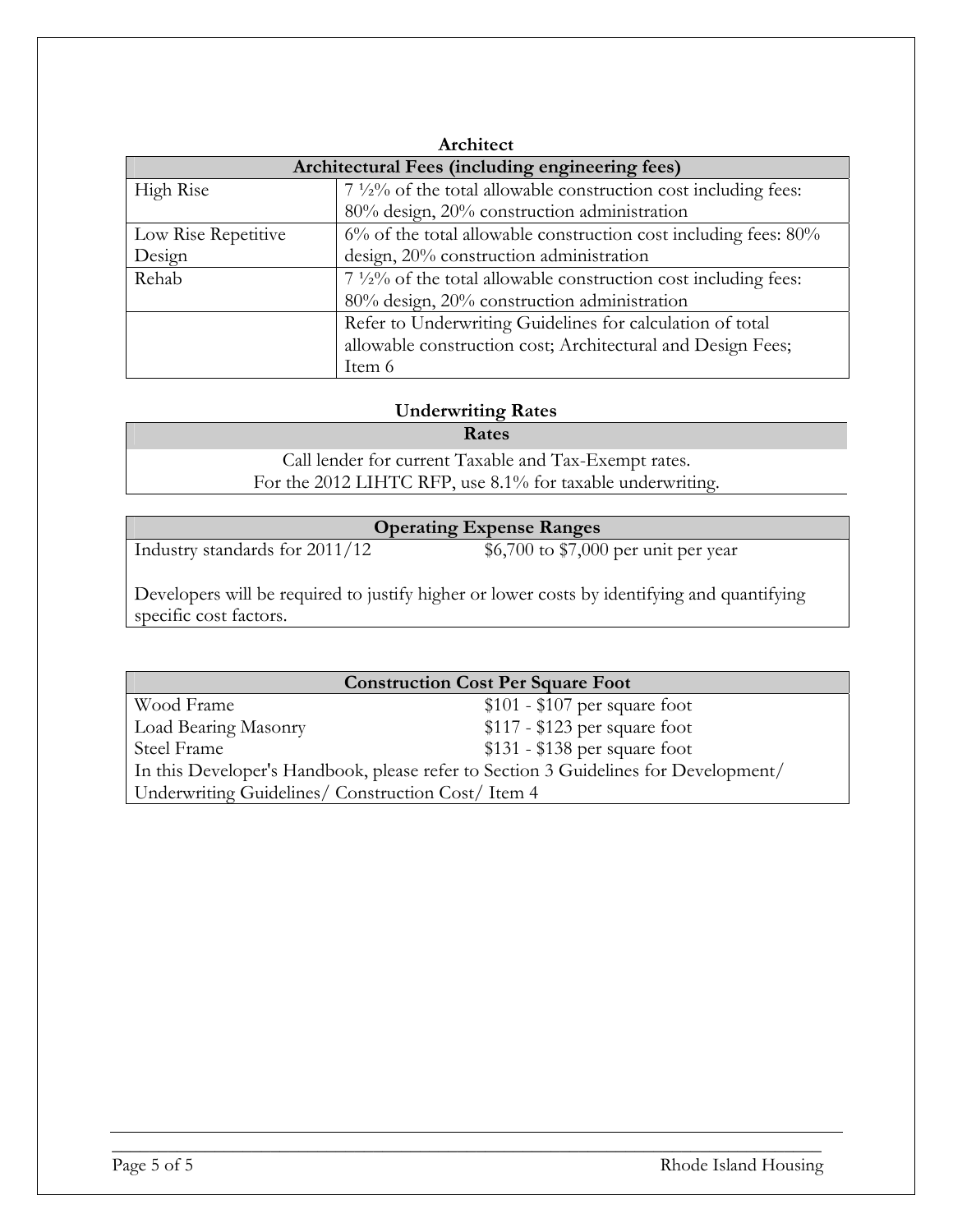| Architect                                       |                                                                           |  |
|-------------------------------------------------|---------------------------------------------------------------------------|--|
| Architectural Fees (including engineering fees) |                                                                           |  |
| High Rise                                       | $7\frac{1}{2}\%$ of the total allowable construction cost including fees: |  |
|                                                 | 80% design, 20% construction administration                               |  |
| Low Rise Repetitive                             | $6\%$ of the total allowable construction cost including fees: $80\%$     |  |
| Design                                          | design, 20% construction administration                                   |  |
| Rehab                                           | $7\frac{1}{2}\%$ of the total allowable construction cost including fees: |  |
|                                                 | 80% design, 20% construction administration                               |  |
|                                                 | Refer to Underwriting Guidelines for calculation of total                 |  |
|                                                 | allowable construction cost; Architectural and Design Fees;               |  |
|                                                 | Item 6                                                                    |  |

#### **Underwriting Rates**

#### **Rates**

Call lender for current Taxable and Tax-Exempt rates. For the 2012 LIHTC RFP, use 8.1% for taxable underwriting.

**Operating Expense Ranges**<br>Industry standards for 2011/12  $\frac{$6,700}{0}$  to \$7,000

 $$6,700$  to  $$7,000$  per unit per year

Developers will be required to justify higher or lower costs by identifying and quantifying specific cost factors.

| <b>Construction Cost Per Square Foot</b>                                            |                               |  |
|-------------------------------------------------------------------------------------|-------------------------------|--|
| Wood Frame                                                                          | $$101 - $107$ per square foot |  |
| Load Bearing Masonry                                                                | $$117 - $123$ per square foot |  |
| Steel Frame                                                                         | $$131 - $138$ per square foot |  |
| In this Developer's Handbook, please refer to Section 3 Guidelines for Development/ |                               |  |
| Underwriting Guidelines/ Construction Cost/ Item 4                                  |                               |  |